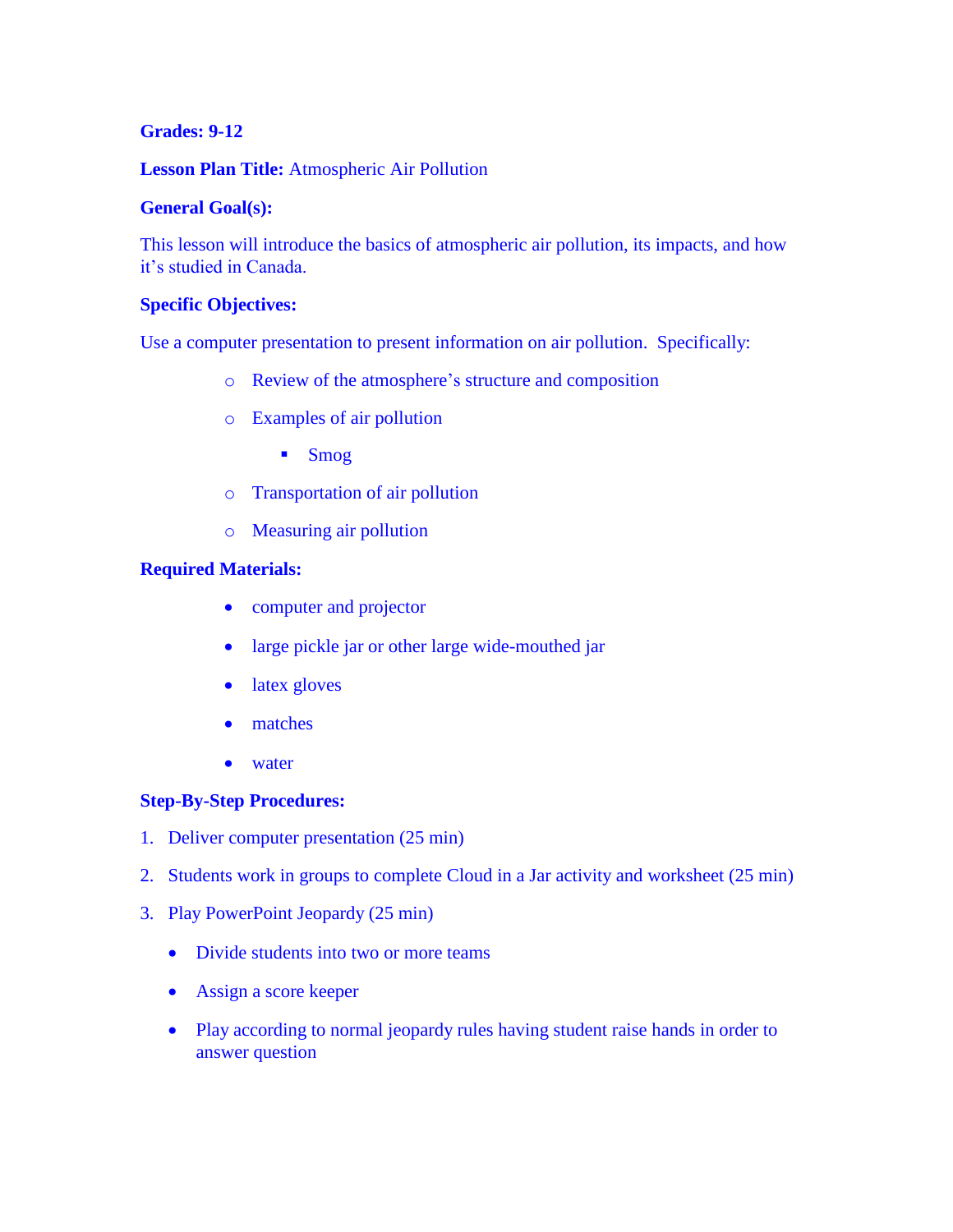## **Grades: 9-12**

### **Lesson Plan Title:** Atmospheric Air Pollution

### **General Goal(s):**

This lesson will introduce the basics of atmospheric air pollution, its impacts, and how it's studied in Canada.

### **Specific Objectives:**

Use a computer presentation to present information on air pollution. Specifically:

- o Review of the atmosphere's structure and composition
- o Examples of air pollution
	- **Smog**
- o Transportation of air pollution
- o Measuring air pollution

### **Required Materials:**

- computer and projector
- large pickle jar or other large wide-mouthed jar
- latex gloves
- matches
- water

# **Step-By-Step Procedures:**

- 1. Deliver computer presentation (25 min)
- 2. Students work in groups to complete Cloud in a Jar activity and worksheet (25 min)
- 3. Play PowerPoint Jeopardy (25 min)
	- Divide students into two or more teams
	- Assign a score keeper
	- Play according to normal jeopardy rules having student raise hands in order to answer question